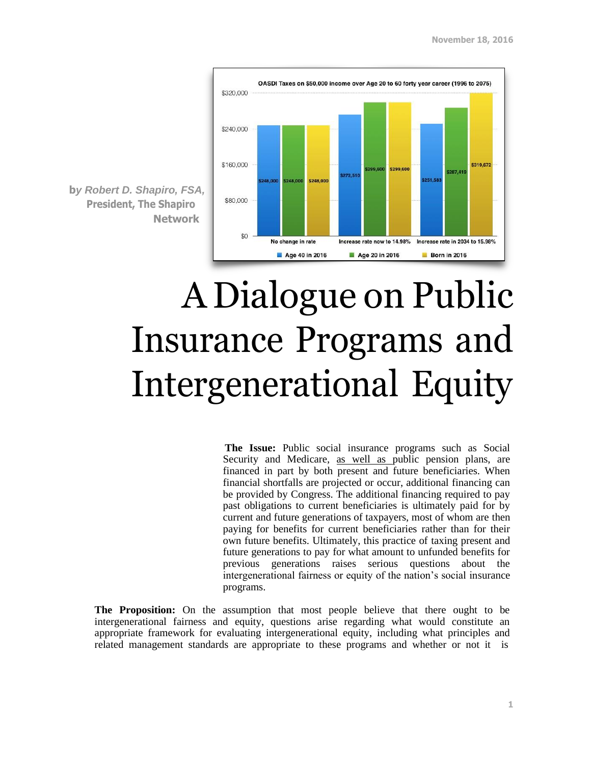

**b***y Robert D. Shapiro, FSA,* **President, The Shapiro Network**

## A Dialogue on Public Insurance Programs and Intergenerational Equity

**The Issue:** Public social insurance programs such as Social Security and Medicare, as well as public pension plans, are financed in part by both present and future beneficiaries. When financial shortfalls are projected or occur, additional financing can be provided by Congress. The additional financing required to pay past obligations to current beneficiaries is ultimately paid for by current and future generations of taxpayers, most of whom are then paying for benefits for current beneficiaries rather than for their own future benefits. Ultimately, this practice of taxing present and future generations to pay for what amount to unfunded benefits for previous generations raises serious questions about the intergenerational fairness or equity of the nation's social insurance programs.

**The Proposition:** On the assumption that most people believe that there ought to be intergenerational fairness and equity, questions arise regarding what would constitute an appropriate framework for evaluating intergenerational equity, including what principles and related management standards are appropriate to these programs and whether or not it is